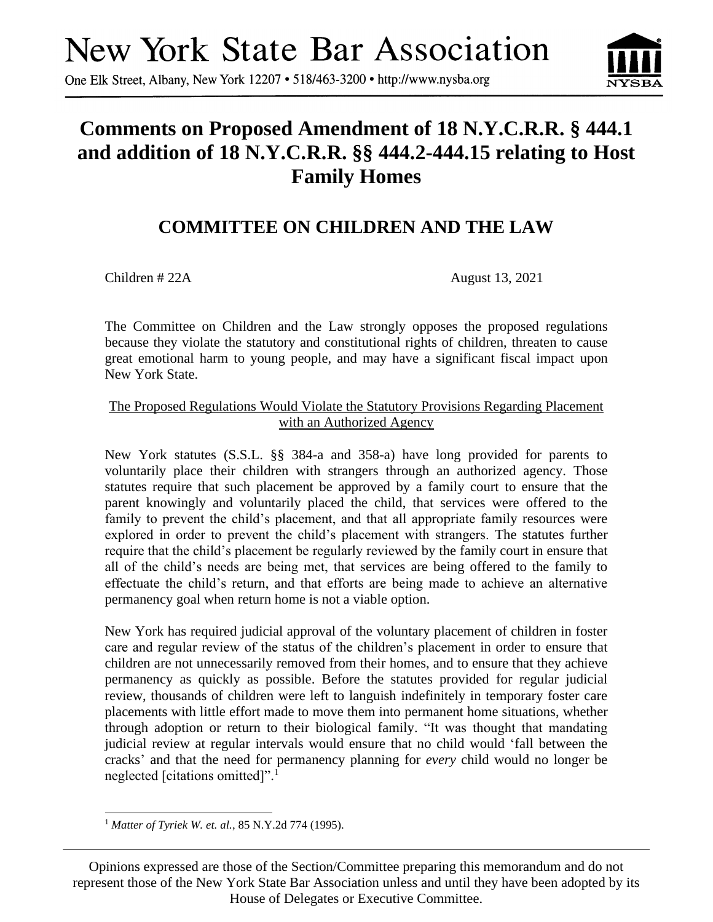One Elk Street, Albany, New York 12207 • 518/463-3200 • http://www.nysba.org

# **Comments on Proposed Amendment of 18 N.Y.C.R.R. § 444.1 and addition of 18 N.Y.C.R.R. §§ 444.2-444.15 relating to Host Family Homes**

# **COMMITTEE ON CHILDREN AND THE LAW**

Children # 22A August 13, 2021

The Committee on Children and the Law strongly opposes the proposed regulations because they violate the statutory and constitutional rights of children, threaten to cause great emotional harm to young people, and may have a significant fiscal impact upon New York State.

The Proposed Regulations Would Violate the Statutory Provisions Regarding Placement with an Authorized Agency

New York statutes (S.S.L. §§ 384-a and 358-a) have long provided for parents to voluntarily place their children with strangers through an authorized agency. Those statutes require that such placement be approved by a family court to ensure that the parent knowingly and voluntarily placed the child, that services were offered to the family to prevent the child's placement, and that all appropriate family resources were explored in order to prevent the child's placement with strangers. The statutes further require that the child's placement be regularly reviewed by the family court in ensure that all of the child's needs are being met, that services are being offered to the family to effectuate the child's return, and that efforts are being made to achieve an alternative permanency goal when return home is not a viable option.

New York has required judicial approval of the voluntary placement of children in foster care and regular review of the status of the children's placement in order to ensure that children are not unnecessarily removed from their homes, and to ensure that they achieve permanency as quickly as possible. Before the statutes provided for regular judicial review, thousands of children were left to languish indefinitely in temporary foster care placements with little effort made to move them into permanent home situations, whether through adoption or return to their biological family. "It was thought that mandating judicial review at regular intervals would ensure that no child would 'fall between the cracks' and that the need for permanency planning for *every* child would no longer be neglected [citations omitted]".<sup>1</sup>

Opinions expressed are those of the Section/Committee preparing this memorandum and do not represent those of the New York State Bar Association unless and until they have been adopted by its House of Delegates or Executive Committee.



<sup>1</sup> *Matter of Tyriek W. et. al.*, 85 N.Y.2d 774 (1995).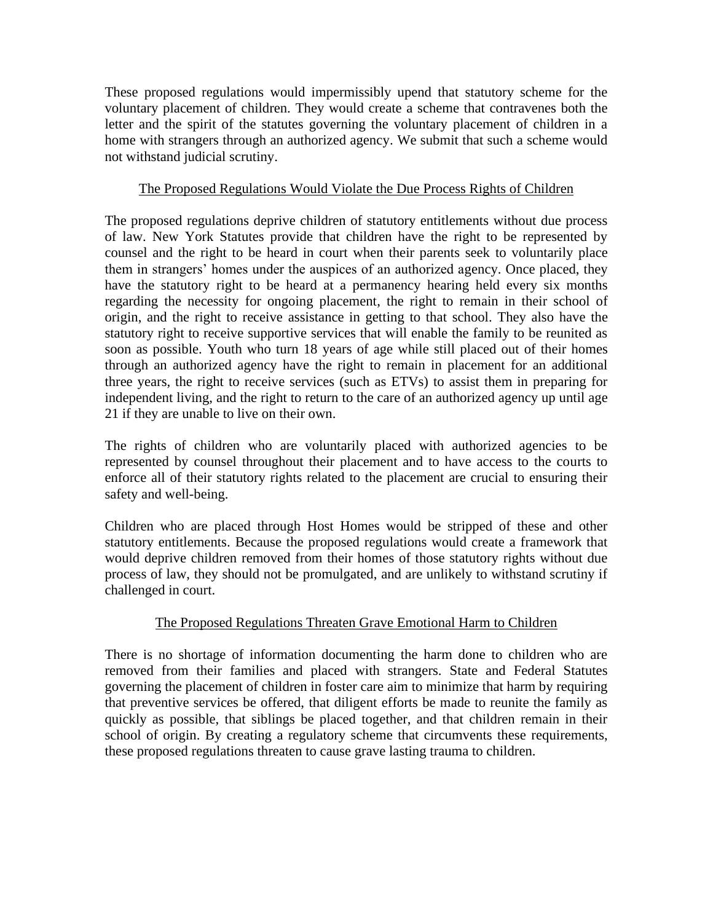These proposed regulations would impermissibly upend that statutory scheme for the voluntary placement of children. They would create a scheme that contravenes both the letter and the spirit of the statutes governing the voluntary placement of children in a home with strangers through an authorized agency. We submit that such a scheme would not withstand judicial scrutiny.

## The Proposed Regulations Would Violate the Due Process Rights of Children

The proposed regulations deprive children of statutory entitlements without due process of law. New York Statutes provide that children have the right to be represented by counsel and the right to be heard in court when their parents seek to voluntarily place them in strangers' homes under the auspices of an authorized agency. Once placed, they have the statutory right to be heard at a permanency hearing held every six months regarding the necessity for ongoing placement, the right to remain in their school of origin, and the right to receive assistance in getting to that school. They also have the statutory right to receive supportive services that will enable the family to be reunited as soon as possible. Youth who turn 18 years of age while still placed out of their homes through an authorized agency have the right to remain in placement for an additional three years, the right to receive services (such as ETVs) to assist them in preparing for independent living, and the right to return to the care of an authorized agency up until age 21 if they are unable to live on their own.

The rights of children who are voluntarily placed with authorized agencies to be represented by counsel throughout their placement and to have access to the courts to enforce all of their statutory rights related to the placement are crucial to ensuring their safety and well-being.

Children who are placed through Host Homes would be stripped of these and other statutory entitlements. Because the proposed regulations would create a framework that would deprive children removed from their homes of those statutory rights without due process of law, they should not be promulgated, and are unlikely to withstand scrutiny if challenged in court.

# The Proposed Regulations Threaten Grave Emotional Harm to Children

There is no shortage of information documenting the harm done to children who are removed from their families and placed with strangers. State and Federal Statutes governing the placement of children in foster care aim to minimize that harm by requiring that preventive services be offered, that diligent efforts be made to reunite the family as quickly as possible, that siblings be placed together, and that children remain in their school of origin. By creating a regulatory scheme that circumvents these requirements, these proposed regulations threaten to cause grave lasting trauma to children.